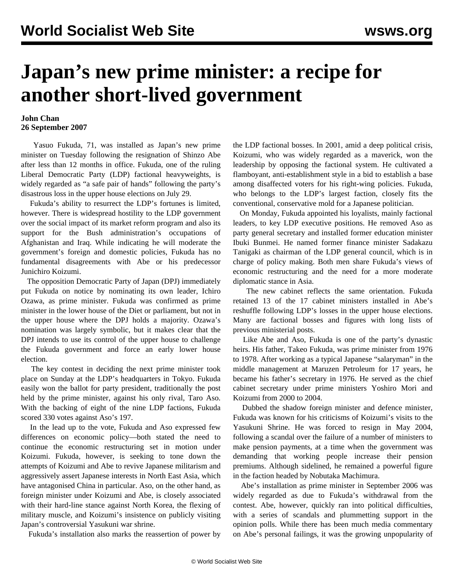## **Japan's new prime minister: a recipe for another short-lived government**

## **John Chan 26 September 2007**

 Yasuo Fukuda, 71, was installed as Japan's new prime minister on Tuesday following the resignation of Shinzo Abe after less than 12 months in office. Fukuda, one of the ruling Liberal Democratic Party (LDP) factional heavyweights, is widely regarded as "a safe pair of hands" following the party's disastrous loss in the upper house elections on July 29.

 Fukuda's ability to resurrect the LDP's fortunes is limited, however. There is widespread hostility to the LDP government over the social impact of its market reform program and also its support for the Bush administration's occupations of Afghanistan and Iraq. While indicating he will moderate the government's foreign and domestic policies, Fukuda has no fundamental disagreements with Abe or his predecessor Junichiro Koizumi.

 The opposition Democratic Party of Japan (DPJ) immediately put Fukuda on notice by nominating its own leader, Ichiro Ozawa, as prime minister. Fukuda was confirmed as prime minister in the lower house of the Diet or parliament, but not in the upper house where the DPJ holds a majority. Ozawa's nomination was largely symbolic, but it makes clear that the DPJ intends to use its control of the upper house to challenge the Fukuda government and force an early lower house election.

 The key contest in deciding the next prime minister took place on Sunday at the LDP's headquarters in Tokyo. Fukuda easily won the ballot for party president, traditionally the post held by the prime minister, against his only rival, Taro Aso. With the backing of eight of the nine LDP factions, Fukuda scored 330 votes against Aso's 197.

 In the lead up to the vote, Fukuda and Aso expressed few differences on economic policy—both stated the need to continue the economic restructuring set in motion under Koizumi. Fukuda, however, is seeking to tone down the attempts of Koizumi and Abe to revive Japanese militarism and aggressively assert Japanese interests in North East Asia, which have antagonised China in particular. Aso, on the other hand, as foreign minister under Koizumi and Abe, is closely associated with their hard-line stance against North Korea, the flexing of military muscle, and Koizumi's insistence on publicly visiting Japan's controversial Yasukuni war shrine.

Fukuda's installation also marks the reassertion of power by

the LDP factional bosses. In 2001, amid a deep political crisis, Koizumi, who was widely regarded as a maverick, won the leadership by opposing the factional system. He cultivated a flamboyant, anti-establishment style in a bid to establish a base among disaffected voters for his right-wing policies. Fukuda, who belongs to the LDP's largest faction, closely fits the conventional, conservative mold for a Japanese politician.

 On Monday, Fukuda appointed his loyalists, mainly factional leaders, to key LDP executive positions. He removed Aso as party general secretary and installed former education minister Ibuki Bunmei. He named former finance minister Sadakazu Tanigaki as chairman of the LDP general council, which is in charge of policy making. Both men share Fukuda's views of economic restructuring and the need for a more moderate diplomatic stance in Asia.

 The new cabinet reflects the same orientation. Fukuda retained 13 of the 17 cabinet ministers installed in Abe's reshuffle following LDP's losses in the upper house elections. Many are factional bosses and figures with long lists of previous ministerial posts.

 Like Abe and Aso, Fukuda is one of the party's dynastic heirs. His father, Takeo Fukuda, was prime minister from 1976 to 1978. After working as a typical Japanese "salaryman" in the middle management at Maruzen Petroleum for 17 years, he became his father's secretary in 1976. He served as the chief cabinet secretary under prime ministers Yoshiro Mori and Koizumi from 2000 to 2004.

 Dubbed the shadow foreign minister and defence minister, Fukuda was known for his criticisms of Koizumi's visits to the Yasukuni Shrine. He was forced to resign in May 2004, following a scandal over the failure of a number of ministers to make pension payments, at a time when the government was demanding that working people increase their pension premiums. Although sidelined, he remained a powerful figure in the faction headed by Nobutaka Machimura.

 Abe's installation as prime minister in September 2006 was widely regarded as due to Fukuda's withdrawal from the contest. Abe, however, quickly ran into political difficulties, with a series of scandals and plummetting support in the opinion polls. While there has been much media commentary on Abe's personal failings, it was the growing unpopularity of